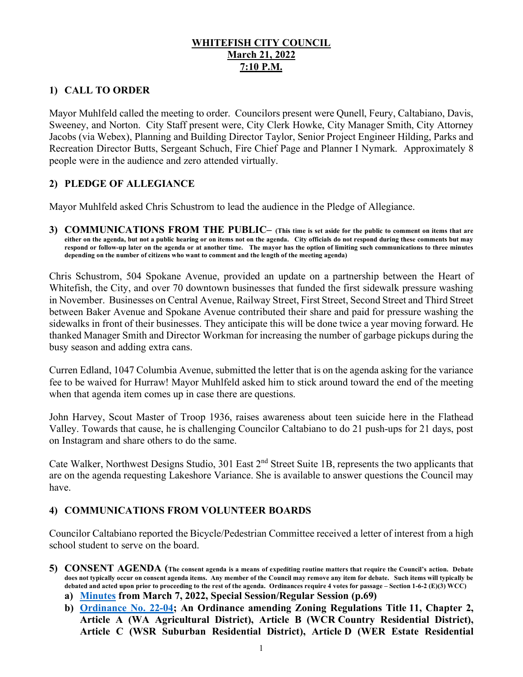### **WHITEFISH CITY COUNCIL March 21, 2022 7:10 P.M.**

## **1) CALL TO ORDER**

Mayor Muhlfeld called the meeting to order. Councilors present were Qunell, Feury, Caltabiano, Davis, Sweeney, and Norton. City Staff present were, City Clerk Howke, City Manager Smith, City Attorney Jacobs (via Webex), Planning and Building Director Taylor, Senior Project Engineer Hilding, Parks and Recreation Director Butts, Sergeant Schuch, Fire Chief Page and Planner I Nymark. Approximately 8 people were in the audience and zero attended virtually.

## **2) PLEDGE OF ALLEGIANCE**

Mayor Muhlfeld asked Chris Schustrom to lead the audience in the Pledge of Allegiance.

**3) COMMUNICATIONS FROM THE PUBLIC– (This time is set aside for the public to comment on items that are either on the agenda, but not a public hearing or on items not on the agenda. City officials do not respond during these comments but may respond or follow-up later on the agenda or at another time. The mayor has the option of limiting such communications to three minutes depending on the number of citizens who want to comment and the length of the meeting agenda)** 

Chris Schustrom, 504 Spokane Avenue, provided an update on a partnership between the Heart of Whitefish, the City, and over 70 downtown businesses that funded the first sidewalk pressure washing in November. Businesses on Central Avenue, Railway Street, First Street, Second Street and Third Street between Baker Avenue and Spokane Avenue contributed their share and paid for pressure washing the sidewalks in front of their businesses. They anticipate this will be done twice a year moving forward. He thanked Manager Smith and Director Workman for increasing the number of garbage pickups during the busy season and adding extra cans.

Curren Edland, 1047 Columbia Avenue, submitted the letter that is on the agenda asking for the variance fee to be waived for Hurraw! Mayor Muhlfeld asked him to stick around toward the end of the meeting when that agenda item comes up in case there are questions.

John Harvey, Scout Master of Troop 1936, raises awareness about teen suicide here in the Flathead Valley. Towards that cause, he is challenging Councilor Caltabiano to do 21 push-ups for 21 days, post on Instagram and share others to do the same.

Cate Walker, Northwest Designs Studio, 301 East 2<sup>nd</sup> Street Suite 1B, represents the two applicants that are on the agenda requesting Lakeshore Variance. She is available to answer questions the Council may have.

### **4) COMMUNICATIONS FROM VOLUNTEER BOARDS**

Councilor Caltabiano reported the Bicycle/Pedestrian Committee received a letter of interest from a high school student to serve on the board.

- **5) CONSENT AGENDA (The consent agenda is a means of expediting routine matters that require the Council's action. Debate does not typically occur on consent agenda items. Any member of the Council may remove any item for debate. Such items will typically be debated and acted upon prior to proceeding to the rest of the agenda. Ordinances require 4 votes for passage – Section 1-6-2 (E)(3) WCC)**
	- **a) [Minutes](https://cityofwhitefishmt.sharepoint.com/:b:/g/documents/EfiX1QKv161CtmS86D2AuLwBIWAXHT_foTAf3qhlPe30AA?e=41Pb8a) from March 7, 2022, Special Session/Regular Session (p.69)**
	- **b) [Ordinance No. 22-04;](https://cityofwhitefishmt.sharepoint.com/:b:/g/documents/EY2BcIQLUzpOubz172Ot8X0BOXGOTs7FnssLCKkEIcsSnQ?e=tyypGb) An Ordinance amending Zoning Regulations Title 11, Chapter 2, Article A (WA Agricultural District), Article B (WCR Country Residential District), Article C (WSR Suburban Residential District), Article D (WER Estate Residential**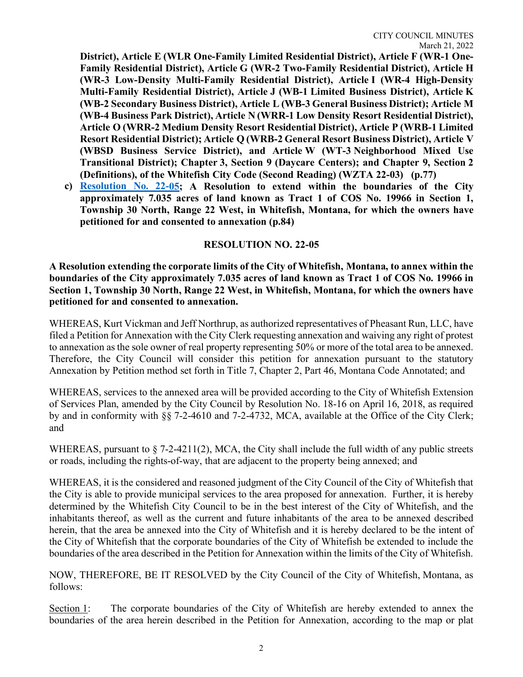**District), Article E (WLR One-Family Limited Residential District), Article F (WR-1 One-Family Residential District), Article G (WR-2 Two-Family Residential District), Article H (WR-3 Low-Density Multi-Family Residential District), Article I (WR-4 High-Density Multi-Family Residential District), Article J (WB-1 Limited Business District), Article K (WB-2 Secondary Business District), Article L (WB-3 General Business District); Article M (WB-4 Business Park District), Article N (WRR-1 Low Density Resort Residential District), Article O (WRR-2 Medium Density Resort Residential District), Article P (WRB-1 Limited Resort Residential District); Article Q (WRB-2 General Resort Business District), Article V (WBSD Business Service District), and Article W (WT-3 Neighborhood Mixed Use Transitional District); Chapter 3, Section 9 (Daycare Centers); and Chapter 9, Section 2 (Definitions), of the Whitefish City Code (Second Reading) (WZTA 22-03) (p.77)**

**c) [Resolution No. 22-0](https://cityofwhitefishmt.sharepoint.com/:b:/g/documents/EXHWC0LpzR1Aovt2y1th-PUBGzWhh15T0MSXrcxXmVj9NQ?e=2Fwfox)5; A Resolution to extend within the boundaries of the City approximately 7.035 acres of land known as Tract 1 of COS No. 19966 in Section 1, Township 30 North, Range 22 West, in Whitefish, Montana, for which the owners have petitioned for and consented to annexation (p.84)**

#### **RESOLUTION NO. 22-05**

**A Resolution extending the corporate limits of the City of Whitefish, Montana, to annex within the boundaries of the City approximately 7.035 acres of land known as Tract 1 of COS No. 19966 in Section 1, Township 30 North, Range 22 West, in Whitefish, Montana, for which the owners have petitioned for and consented to annexation.**

WHEREAS, Kurt Vickman and Jeff Northrup, as authorized representatives of Pheasant Run, LLC, have filed a Petition for Annexation with the City Clerk requesting annexation and waiving any right of protest to annexation as the sole owner of real property representing 50% or more of the total area to be annexed. Therefore, the City Council will consider this petition for annexation pursuant to the statutory Annexation by Petition method set forth in Title 7, Chapter 2, Part 46, Montana Code Annotated; and

WHEREAS, services to the annexed area will be provided according to the City of Whitefish Extension of Services Plan, amended by the City Council by Resolution No. 18-16 on April 16, 2018, as required by and in conformity with §§ 7-2-4610 and 7-2-4732, MCA, available at the Office of the City Clerk; and

WHEREAS, pursuant to  $\S$  7-2-4211(2), MCA, the City shall include the full width of any public streets or roads, including the rights-of-way, that are adjacent to the property being annexed; and

WHEREAS, it is the considered and reasoned judgment of the City Council of the City of Whitefish that the City is able to provide municipal services to the area proposed for annexation. Further, it is hereby determined by the Whitefish City Council to be in the best interest of the City of Whitefish, and the inhabitants thereof, as well as the current and future inhabitants of the area to be annexed described herein, that the area be annexed into the City of Whitefish and it is hereby declared to be the intent of the City of Whitefish that the corporate boundaries of the City of Whitefish be extended to include the boundaries of the area described in the Petition for Annexation within the limits of the City of Whitefish.

NOW, THEREFORE, BE IT RESOLVED by the City Council of the City of Whitefish, Montana, as follows:

Section 1: The corporate boundaries of the City of Whitefish are hereby extended to annex the boundaries of the area herein described in the Petition for Annexation, according to the map or plat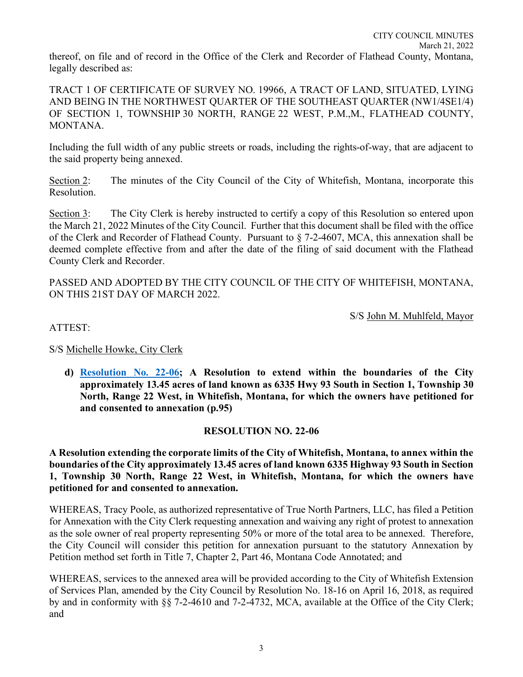TRACT 1 OF CERTIFICATE OF SURVEY NO. 19966, A TRACT OF LAND, SITUATED, LYING AND BEING IN THE NORTHWEST QUARTER OF THE SOUTHEAST QUARTER (NW1/4SE1/4) OF SECTION 1, TOWNSHIP 30 NORTH, RANGE 22 WEST, P.M.,M., FLATHEAD COUNTY, MONTANA.

Including the full width of any public streets or roads, including the rights-of-way, that are adjacent to the said property being annexed.

Section 2: The minutes of the City Council of the City of Whitefish, Montana, incorporate this Resolution.

Section 3: The City Clerk is hereby instructed to certify a copy of this Resolution so entered upon the March 21, 2022 Minutes of the City Council. Further that this document shall be filed with the office of the Clerk and Recorder of Flathead County. Pursuant to § 7-2-4607, MCA, this annexation shall be deemed complete effective from and after the date of the filing of said document with the Flathead County Clerk and Recorder.

PASSED AND ADOPTED BY THE CITY COUNCIL OF THE CITY OF WHITEFISH, MONTANA, ON THIS 21ST DAY OF MARCH 2022.

S/S John M. Muhlfeld, Mayor

ATTEST:

S/S Michelle Howke, City Clerk

**d) [Resolution No. 22-0](https://cityofwhitefishmt.sharepoint.com/:b:/g/documents/EdSXUjQxZRRPiKpfKjGzZwoBR9wi--_77OEZbvaPl8LSqA?e=KcdGaZ)6; A Resolution to extend within the boundaries of the City approximately 13.45 acres of land known as 6335 Hwy 93 South in Section 1, Township 30 North, Range 22 West, in Whitefish, Montana, for which the owners have petitioned for and consented to annexation (p.95)**

### **RESOLUTION NO. 22-06**

**A Resolution extending the corporate limits of the City of Whitefish, Montana, to annex within the boundaries of the City approximately 13.45 acres of land known 6335 Highway 93 South in Section 1, Township 30 North, Range 22 West, in Whitefish, Montana, for which the owners have petitioned for and consented to annexation.**

WHEREAS, Tracy Poole, as authorized representative of True North Partners, LLC, has filed a Petition for Annexation with the City Clerk requesting annexation and waiving any right of protest to annexation as the sole owner of real property representing 50% or more of the total area to be annexed. Therefore, the City Council will consider this petition for annexation pursuant to the statutory Annexation by Petition method set forth in Title 7, Chapter 2, Part 46, Montana Code Annotated; and

WHEREAS, services to the annexed area will be provided according to the City of Whitefish Extension of Services Plan, amended by the City Council by Resolution No. 18-16 on April 16, 2018, as required by and in conformity with §§ 7-2-4610 and 7-2-4732, MCA, available at the Office of the City Clerk; and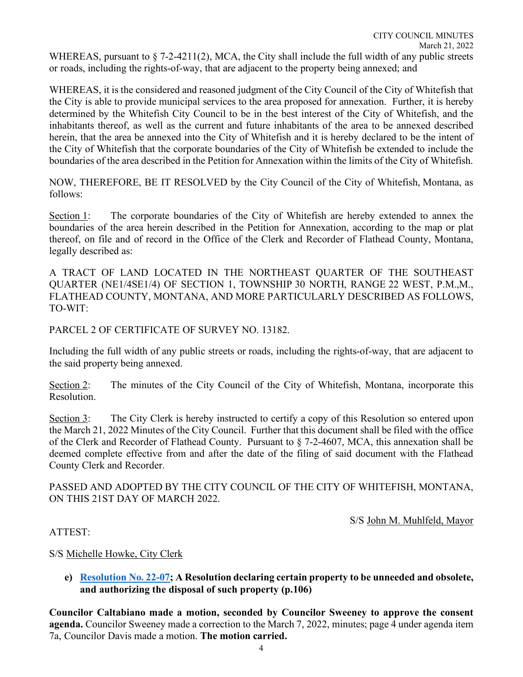WHEREAS, it is the considered and reasoned judgment of the City Council of the City of Whitefish that the City is able to provide municipal services to the area proposed for annexation. Further, it is hereby determined by the Whitefish City Council to be in the best interest of the City of Whitefish, and the inhabitants thereof, as well as the current and future inhabitants of the area to be annexed described herein, that the area be annexed into the City of Whitefish and it is hereby declared to be the intent of the City of Whitefish that the corporate boundaries of the City of Whitefish be extended to include the boundaries of the area described in the Petition for Annexation within the limits of the City of Whitefish.

NOW, THEREFORE, BE IT RESOLVED by the City Council of the City of Whitefish, Montana, as follows:

Section 1: The corporate boundaries of the City of Whitefish are hereby extended to annex the boundaries of the area herein described in the Petition for Annexation, according to the map or plat thereof, on file and of record in the Office of the Clerk and Recorder of Flathead County, Montana, legally described as:

A TRACT OF LAND LOCATED IN THE NORTHEAST QUARTER OF THE SOUTHEAST QUARTER (NE1/4SE1/4) OF SECTION 1, TOWNSHIP 30 NORTH, RANGE 22 WEST, P.M.,M., FLATHEAD COUNTY, MONTANA, AND MORE PARTICULARLY DESCRIBED AS FOLLOWS, TO-WIT:

PARCEL 2 OF CERTIFICATE OF SURVEY NO. 13182.

Including the full width of any public streets or roads, including the rights-of-way, that are adjacent to the said property being annexed.

Section 2: The minutes of the City Council of the City of Whitefish, Montana, incorporate this Resolution.

Section 3: The City Clerk is hereby instructed to certify a copy of this Resolution so entered upon the March 21, 2022 Minutes of the City Council. Further that this document shall be filed with the office of the Clerk and Recorder of Flathead County. Pursuant to § 7-2-4607, MCA, this annexation shall be deemed complete effective from and after the date of the filing of said document with the Flathead County Clerk and Recorder.

PASSED AND ADOPTED BY THE CITY COUNCIL OF THE CITY OF WHITEFISH, MONTANA, ON THIS 21ST DAY OF MARCH 2022.

S/S John M. Muhlfeld, Mayor

### ATTEST:

### S/S Michelle Howke, City Clerk

#### **e) [Resolution No. 22-0](https://cityofwhitefishmt.sharepoint.com/:b:/g/documents/EU_hTzIHabxLoB9LygAqf00B5Fzu6WHQWtOcRNXIFMdLjQ?e=8LrkEz)7; A Resolution declaring certain property to be unneeded and obsolete, and authorizing the disposal of such property (p.106)**

**Councilor Caltabiano made a motion, seconded by Councilor Sweeney to approve the consent agenda.** Councilor Sweeney made a correction to the March 7, 2022, minutes; page 4 under agenda item 7a, Councilor Davis made a motion. **The motion carried.**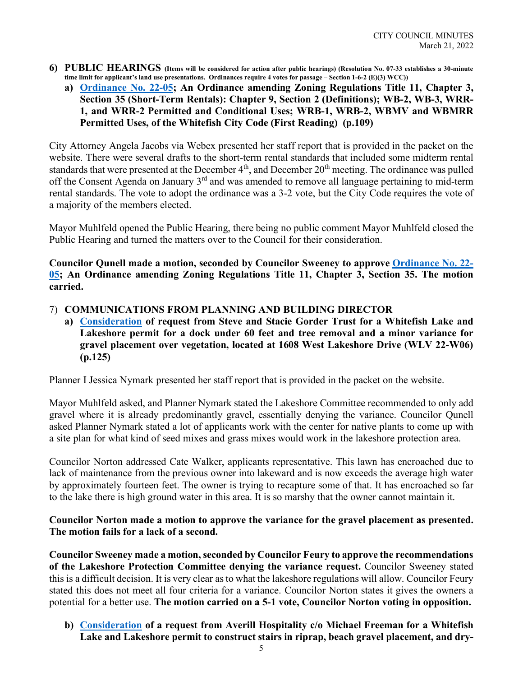- **6) PUBLIC HEARINGS (Items will be considered for action after public hearings) (Resolution No. 07-33 establishes a 30-minute time limit for applicant's land use presentations. Ordinances require 4 votes for passage – Section 1-6-2 (E)(3) WCC))**
	- **a) [Ordinance No. 22-0](https://cityofwhitefishmt.sharepoint.com/:b:/g/documents/EXcXdrBzRvJMhJmtKvWBTqwBFFPTVo-ffh52_tGGpASG2Q?e=Vmk3Gj)5; An Ordinance amending Zoning Regulations Title 11, Chapter 3, Section 35 (Short-Term Rentals): Chapter 9, Section 2 (Definitions); WB-2, WB-3, WRR-1, and WRR-2 Permitted and Conditional Uses; WRB-1, WRB-2, WBMV and WBMRR Permitted Uses, of the Whitefish City Code (First Reading) (p.109)**

City Attorney Angela Jacobs via Webex presented her staff report that is provided in the packet on the website. There were several drafts to the short-term rental standards that included some midterm rental standards that were presented at the December 4<sup>th</sup>, and December 20<sup>th</sup> meeting. The ordinance was pulled off the Consent Agenda on January 3<sup>rd</sup> and was amended to remove all language pertaining to mid-term rental standards. The vote to adopt the ordinance was a 3-2 vote, but the City Code requires the vote of a majority of the members elected.

Mayor Muhlfeld opened the Public Hearing, there being no public comment Mayor Muhlfeld closed the Public Hearing and turned the matters over to the Council for their consideration.

**Councilor Qunell made a motion, seconded by Councilor Sweeney to approve [Ordinance No. 22-](https://cityofwhitefishmt.sharepoint.com/:b:/g/documents/EXcXdrBzRvJMhJmtKvWBTqwBFFPTVo-ffh52_tGGpASG2Q?e=Vmk3Gj) 05; An Ordinance amending Zoning Regulations Title 11, Chapter 3, Section 35. The motion carried.** 

- 7) **COMMUNICATIONS FROM PLANNING AND BUILDING DIRECTOR**
	- **a) [Consideration](https://cityofwhitefishmt.sharepoint.com/:b:/g/documents/EaDdubYiMNNGqPnK5X-BtXAB6iFc-bj8VfE7IKXhUsa3Zw?e=3wR86r) of request from Steve and Stacie Gorder Trust for a Whitefish Lake and Lakeshore permit for a dock under 60 feet and tree removal and a minor variance for gravel placement over vegetation, located at 1608 West Lakeshore Drive (WLV 22-W06) (p.125)**

Planner I Jessica Nymark presented her staff report that is provided in the packet on the website.

Mayor Muhlfeld asked, and Planner Nymark stated the Lakeshore Committee recommended to only add gravel where it is already predominantly gravel, essentially denying the variance. Councilor Qunell asked Planner Nymark stated a lot of applicants work with the center for native plants to come up with a site plan for what kind of seed mixes and grass mixes would work in the lakeshore protection area.

Councilor Norton addressed Cate Walker, applicants representative. This lawn has encroached due to lack of maintenance from the previous owner into lakeward and is now exceeds the average high water by approximately fourteen feet. The owner is trying to recapture some of that. It has encroached so far to the lake there is high ground water in this area. It is so marshy that the owner cannot maintain it.

#### **Councilor Norton made a motion to approve the variance for the gravel placement as presented. The motion fails for a lack of a second.**

**Councilor Sweeney made a motion, seconded by Councilor Feury to approve the recommendations of the Lakeshore Protection Committee denying the variance request.** Councilor Sweeney stated this is a difficult decision. It is very clear as to what the lakeshore regulations will allow. Councilor Feury stated this does not meet all four criteria for a variance. Councilor Norton states it gives the owners a potential for a better use. **The motion carried on a 5-1 vote, Councilor Norton voting in opposition.** 

**b) [Consideration](https://cityofwhitefishmt.sharepoint.com/:b:/g/documents/EX2MbArRiedJq9kspgQZO3wB_qdqspxTgnj0BdVIHWFndg?e=WcLOI5) of a request from Averill Hospitality c/o Michael Freeman for a Whitefish Lake and Lakeshore permit to construct stairs in riprap, beach gravel placement, and dry-**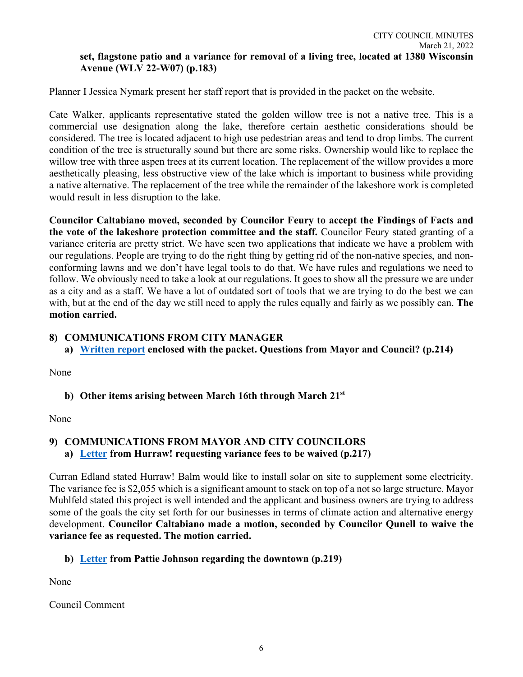Planner I Jessica Nymark present her staff report that is provided in the packet on the website.

Cate Walker, applicants representative stated the golden willow tree is not a native tree. This is a commercial use designation along the lake, therefore certain aesthetic considerations should be considered. The tree is located adjacent to high use pedestrian areas and tend to drop limbs. The current condition of the tree is structurally sound but there are some risks. Ownership would like to replace the willow tree with three aspen trees at its current location. The replacement of the willow provides a more aesthetically pleasing, less obstructive view of the lake which is important to business while providing a native alternative. The replacement of the tree while the remainder of the lakeshore work is completed would result in less disruption to the lake.

**Councilor Caltabiano moved, seconded by Councilor Feury to accept the Findings of Facts and the vote of the lakeshore protection committee and the staff.** Councilor Feury stated granting of a variance criteria are pretty strict. We have seen two applications that indicate we have a problem with our regulations. People are trying to do the right thing by getting rid of the non-native species, and nonconforming lawns and we don't have legal tools to do that. We have rules and regulations we need to follow. We obviously need to take a look at our regulations. It goes to show all the pressure we are under as a city and as a staff. We have a lot of outdated sort of tools that we are trying to do the best we can with, but at the end of the day we still need to apply the rules equally and fairly as we possibly can. **The motion carried.** 

### **8) COMMUNICATIONS FROM CITY MANAGER**

**a) [Written report](https://cityofwhitefishmt.sharepoint.com/:b:/g/documents/EcEUkzoD0_BNtOiP5OUwrykBmdsyzH1h_RnP93S7YGQ1Xg?e=3ntTZX) enclosed with the packet. Questions from Mayor and Council? (p.214)**

None

# **b) Other items arising between March 16th through March 21st**

None

## **9) COMMUNICATIONS FROM MAYOR AND CITY COUNCILORS a) [Letter](https://cityofwhitefishmt.sharepoint.com/:b:/g/documents/ERsxogSHCHZFvH_-wQTOx_MB2MYZIR7c2KsToFLLdpY1jQ?e=vCBNFq) from Hurraw! requesting variance fees to be waived (p.217)**

Curran Edland stated Hurraw! Balm would like to install solar on site to supplement some electricity. The variance fee is \$2,055 which is a significant amount to stack on top of a not so large structure. Mayor Muhlfeld stated this project is well intended and the applicant and business owners are trying to address some of the goals the city set forth for our businesses in terms of climate action and alternative energy development. **Councilor Caltabiano made a motion, seconded by Councilor Qunell to waive the variance fee as requested. The motion carried.** 

# **b) [Letter](https://cityofwhitefishmt.sharepoint.com/:b:/g/documents/ESDM-JAJe8NLi_raGAGuljAB-5mMIr0NV9GGHmDhVaQjWg?e=E1gP6W) from Pattie Johnson regarding the downtown (p.219)**

None

Council Comment